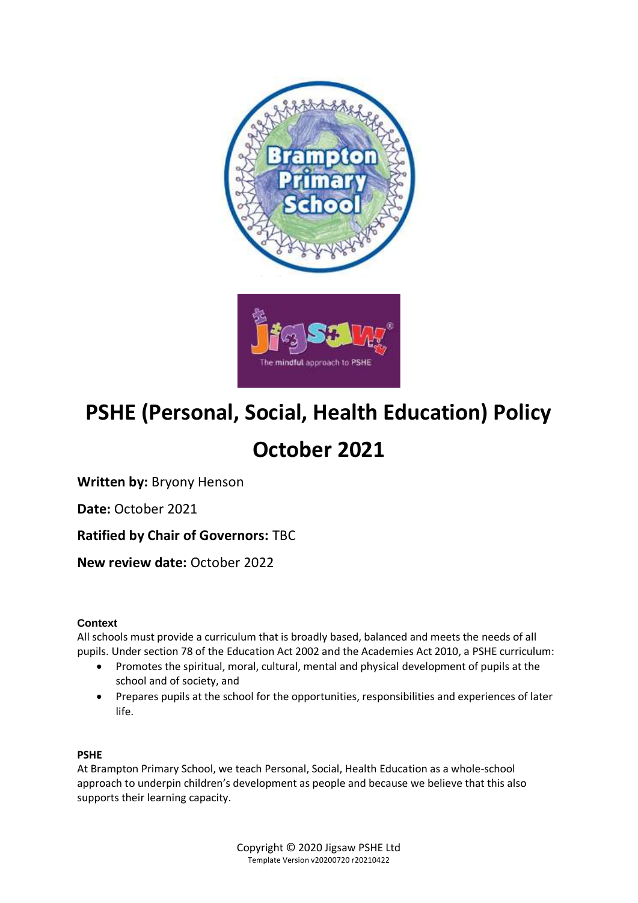

# **PSHE (Personal, Social, Health Education) Policy**

## **October 2021**

**Written by:** Bryony Henson

**Date:** October 2021

**Ratified by Chair of Governors:** TBC

**New review date:** October 2022

## **Context**

All schools must provide a curriculum that is broadly based, balanced and meets the needs of all pupils. Under section 78 of the Education Act 2002 and the Academies Act 2010, a PSHE curriculum:

- Promotes the spiritual, moral, cultural, mental and physical development of pupils at the school and of society, and
- Prepares pupils at the school for the opportunities, responsibilities and experiences of later life.

## **PSHE**

At Brampton Primary School, we teach Personal, Social, Health Education as a whole-school approach to underpin children's development as people and because we believe that this also supports their learning capacity.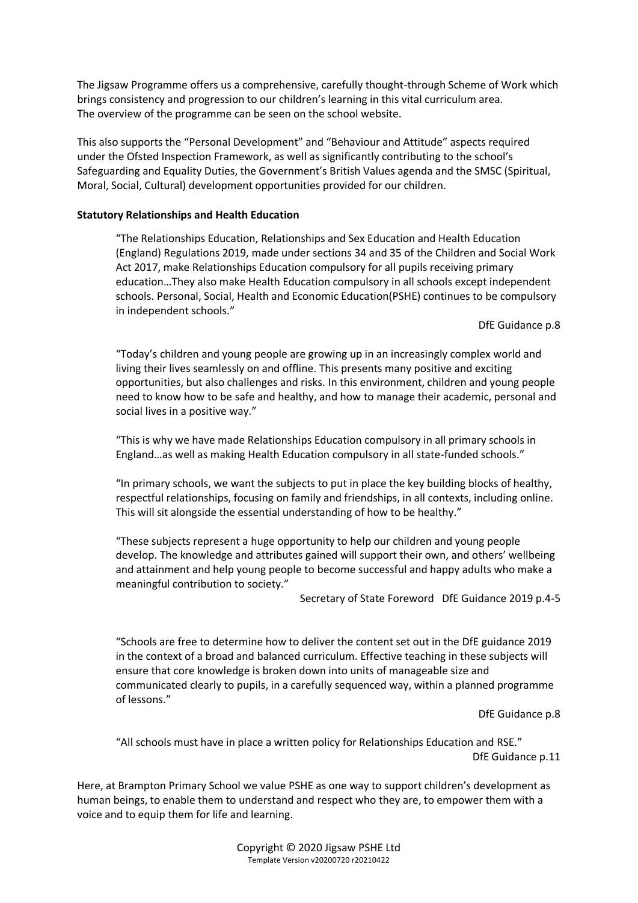The Jigsaw Programme offers us a comprehensive, carefully thought-through Scheme of Work which brings consistency and progression to our children's learning in this vital curriculum area. The overview of the programme can be seen on the school website.

This also supports the "Personal Development" and "Behaviour and Attitude" aspects required under the Ofsted Inspection Framework, as well as significantly contributing to the school's Safeguarding and Equality Duties, the Government's British Values agenda and the SMSC (Spiritual, Moral, Social, Cultural) development opportunities provided for our children.

## **Statutory Relationships and Health Education**

"The Relationships Education, Relationships and Sex Education and Health Education (England) Regulations 2019, made under sections 34 and 35 of the Children and Social Work Act 2017, make Relationships Education compulsory for all pupils receiving primary education…They also make Health Education compulsory in all schools except independent schools. Personal, Social, Health and Economic Education(PSHE) continues to be compulsory in independent schools."

DfE Guidance p.8

"Today's children and young people are growing up in an increasingly complex world and living their lives seamlessly on and offline. This presents many positive and exciting opportunities, but also challenges and risks. In this environment, children and young people need to know how to be safe and healthy, and how to manage their academic, personal and social lives in a positive way."

"This is why we have made Relationships Education compulsory in all primary schools in England…as well as making Health Education compulsory in all state-funded schools."

"In primary schools, we want the subjects to put in place the key building blocks of healthy, respectful relationships, focusing on family and friendships, in all contexts, including online. This will sit alongside the essential understanding of how to be healthy."

"These subjects represent a huge opportunity to help our children and young people develop. The knowledge and attributes gained will support their own, and others' wellbeing and attainment and help young people to become successful and happy adults who make a meaningful contribution to society."

Secretary of State Foreword DfE Guidance 2019 p.4-5

"Schools are free to determine how to deliver the content set out in the DfE guidance 2019 in the context of a broad and balanced curriculum. Effective teaching in these subjects will ensure that core knowledge is broken down into units of manageable size and communicated clearly to pupils, in a carefully sequenced way, within a planned programme of lessons."

DfE Guidance p.8

"All schools must have in place a written policy for Relationships Education and RSE." DfE Guidance p.11

Here, at Brampton Primary School we value PSHE as one way to support children's development as human beings, to enable them to understand and respect who they are, to empower them with a voice and to equip them for life and learning.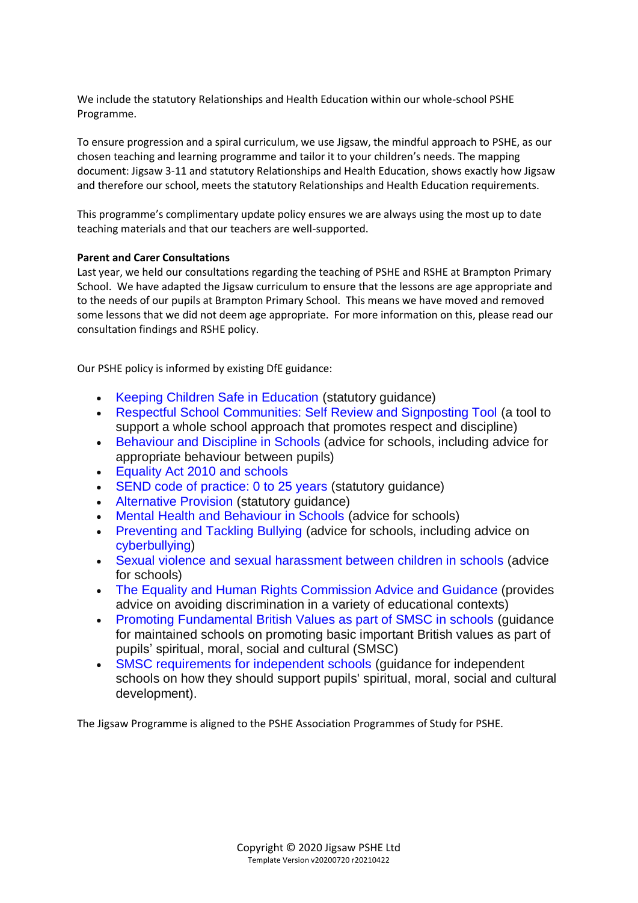We include the statutory Relationships and Health Education within our whole-school PSHE Programme.

To ensure progression and a spiral curriculum, we use Jigsaw, the mindful approach to PSHE, as our chosen teaching and learning programme and tailor it to your children's needs. The mapping document: Jigsaw 3-11 and statutory Relationships and Health Education, shows exactly how Jigsaw and therefore our school, meets the statutory Relationships and Health Education requirements.

This programme's complimentary update policy ensures we are always using the most up to date teaching materials and that our teachers are well-supported.

## **Parent and Carer Consultations**

Last year, we held our consultations regarding the teaching of PSHE and RSHE at Brampton Primary School. We have adapted the Jigsaw curriculum to ensure that the lessons are age appropriate and to the needs of our pupils at Brampton Primary School. This means we have moved and removed some lessons that we did not deem age appropriate. For more information on this, please read our consultation findings and RSHE policy.

Our PSHE policy is informed by existing DfE guidance:

- Keeping Children Safe in Education (statutory quidance)
- Respectful School Communities: Self Review and Signposting Tool (a tool to support a whole school approach that promotes respect and discipline)
- Behaviour and Discipline in Schools (advice for schools, including advice for appropriate behaviour between pupils)
- Equality Act 2010 and schools
- SEND code of practice: 0 to 25 years (statutory quidance)
- Alternative Provision (statutory guidance)
- Mental Health and Behaviour in Schools (advice for schools)
- Preventing and Tackling Bullying (advice for schools, including advice on cyberbullying)
- Sexual violence and sexual harassment between children in schools (advice for schools)
- The Equality and Human Rights Commission Advice and Guidance (provides advice on avoiding discrimination in a variety of educational contexts)
- Promoting Fundamental British Values as part of SMSC in schools (guidance for maintained schools on promoting basic important British values as part of pupils' spiritual, moral, social and cultural (SMSC)
- SMSC requirements for independent schools (quidance for independent schools on how they should support pupils' spiritual, moral, social and cultural development).

The Jigsaw Programme is aligned to the PSHE Association Programmes of Study for PSHE.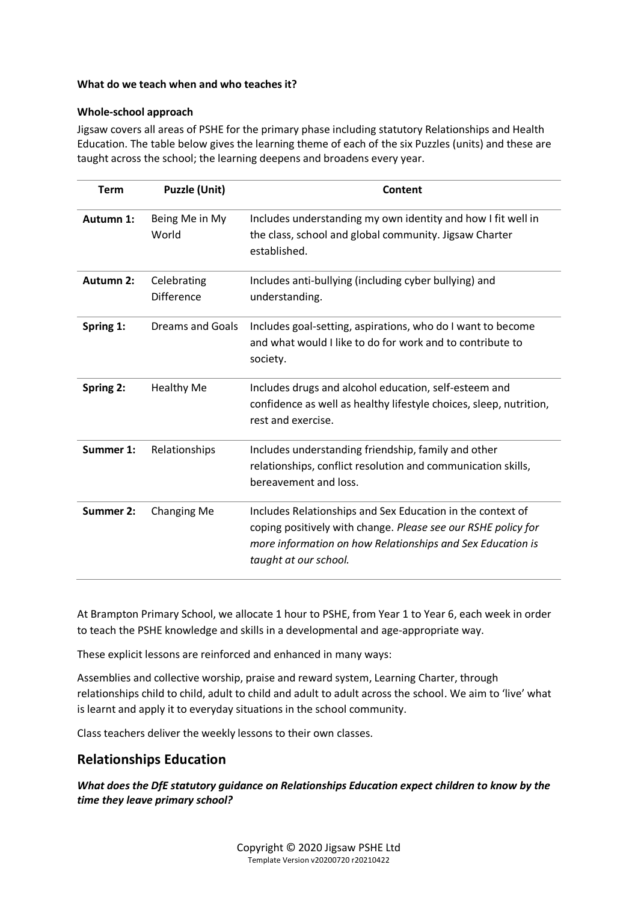### **What do we teach when and who teaches it?**

#### **Whole-school approach**

Jigsaw covers all areas of PSHE for the primary phase including statutory Relationships and Health Education. The table below gives the learning theme of each of the six Puzzles (units) and these are taught across the school; the learning deepens and broadens every year.

| <b>Term</b>      | <b>Puzzle (Unit)</b>             | Content                                                                                                                                                                                                            |
|------------------|----------------------------------|--------------------------------------------------------------------------------------------------------------------------------------------------------------------------------------------------------------------|
| Autumn 1:        | Being Me in My<br>World          | Includes understanding my own identity and how I fit well in<br>the class, school and global community. Jigsaw Charter<br>established.                                                                             |
| Autumn 2:        | Celebrating<br><b>Difference</b> | Includes anti-bullying (including cyber bullying) and<br>understanding.                                                                                                                                            |
| Spring 1:        | <b>Dreams and Goals</b>          | Includes goal-setting, aspirations, who do I want to become<br>and what would I like to do for work and to contribute to<br>society.                                                                               |
| Spring 2:        | <b>Healthy Me</b>                | Includes drugs and alcohol education, self-esteem and<br>confidence as well as healthy lifestyle choices, sleep, nutrition,<br>rest and exercise.                                                                  |
| Summer 1:        | Relationships                    | Includes understanding friendship, family and other<br>relationships, conflict resolution and communication skills,<br>bereavement and loss.                                                                       |
| <b>Summer 2:</b> | Changing Me                      | Includes Relationships and Sex Education in the context of<br>coping positively with change. Please see our RSHE policy for<br>more information on how Relationships and Sex Education is<br>taught at our school. |

At Brampton Primary School, we allocate 1 hour to PSHE, from Year 1 to Year 6, each week in order to teach the PSHE knowledge and skills in a developmental and age-appropriate way.

These explicit lessons are reinforced and enhanced in many ways:

Assemblies and collective worship, praise and reward system, Learning Charter, through relationships child to child, adult to child and adult to adult across the school. We aim to 'live' what is learnt and apply it to everyday situations in the school community.

Class teachers deliver the weekly lessons to their own classes.

## **Relationships Education**

*What does the DfE statutory guidance on Relationships Education expect children to know by the time they leave primary school?*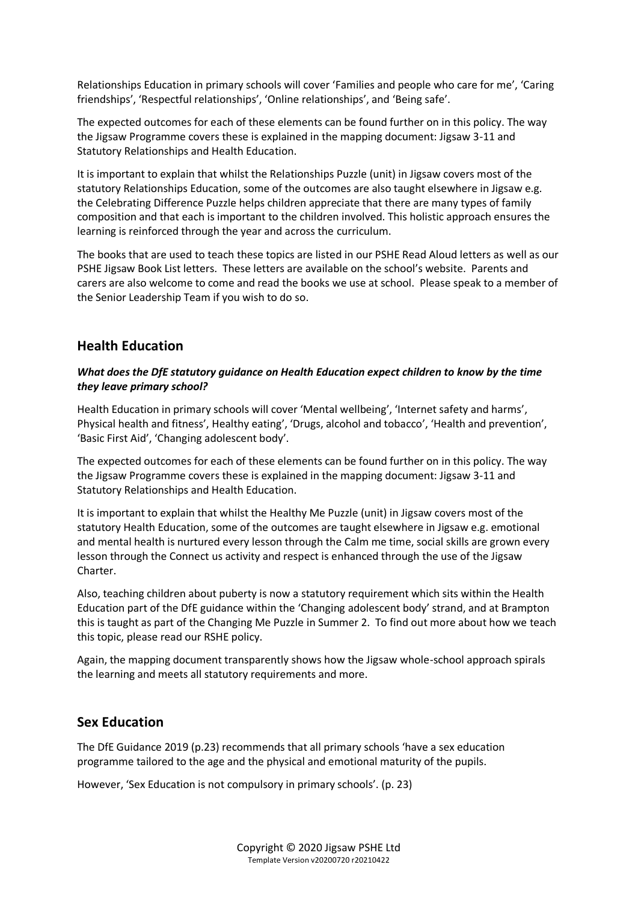Relationships Education in primary schools will cover 'Families and people who care for me', 'Caring friendships', 'Respectful relationships', 'Online relationships', and 'Being safe'.

The expected outcomes for each of these elements can be found further on in this policy. The way the Jigsaw Programme covers these is explained in the mapping document: Jigsaw 3-11 and Statutory Relationships and Health Education.

It is important to explain that whilst the Relationships Puzzle (unit) in Jigsaw covers most of the statutory Relationships Education, some of the outcomes are also taught elsewhere in Jigsaw e.g. the Celebrating Difference Puzzle helps children appreciate that there are many types of family composition and that each is important to the children involved. This holistic approach ensures the learning is reinforced through the year and across the curriculum.

The books that are used to teach these topics are listed in our PSHE Read Aloud letters as well as our PSHE Jigsaw Book List letters. These letters are available on the school's website. Parents and carers are also welcome to come and read the books we use at school. Please speak to a member of the Senior Leadership Team if you wish to do so.

## **Health Education**

### *What does the DfE statutory guidance on Health Education expect children to know by the time they leave primary school?*

Health Education in primary schools will cover 'Mental wellbeing', 'Internet safety and harms', Physical health and fitness', Healthy eating', 'Drugs, alcohol and tobacco', 'Health and prevention', 'Basic First Aid', 'Changing adolescent body'.

The expected outcomes for each of these elements can be found further on in this policy. The way the Jigsaw Programme covers these is explained in the mapping document: Jigsaw 3-11 and Statutory Relationships and Health Education.

It is important to explain that whilst the Healthy Me Puzzle (unit) in Jigsaw covers most of the statutory Health Education, some of the outcomes are taught elsewhere in Jigsaw e.g. emotional and mental health is nurtured every lesson through the Calm me time, social skills are grown every lesson through the Connect us activity and respect is enhanced through the use of the Jigsaw Charter.

Also, teaching children about puberty is now a statutory requirement which sits within the Health Education part of the DfE guidance within the 'Changing adolescent body' strand, and at Brampton this is taught as part of the Changing Me Puzzle in Summer 2. To find out more about how we teach this topic, please read our RSHE policy.

Again, the mapping document transparently shows how the Jigsaw whole-school approach spirals the learning and meets all statutory requirements and more.

## **Sex Education**

The DfE Guidance 2019 (p.23) recommends that all primary schools 'have a sex education programme tailored to the age and the physical and emotional maturity of the pupils.

However, 'Sex Education is not compulsory in primary schools'. (p. 23)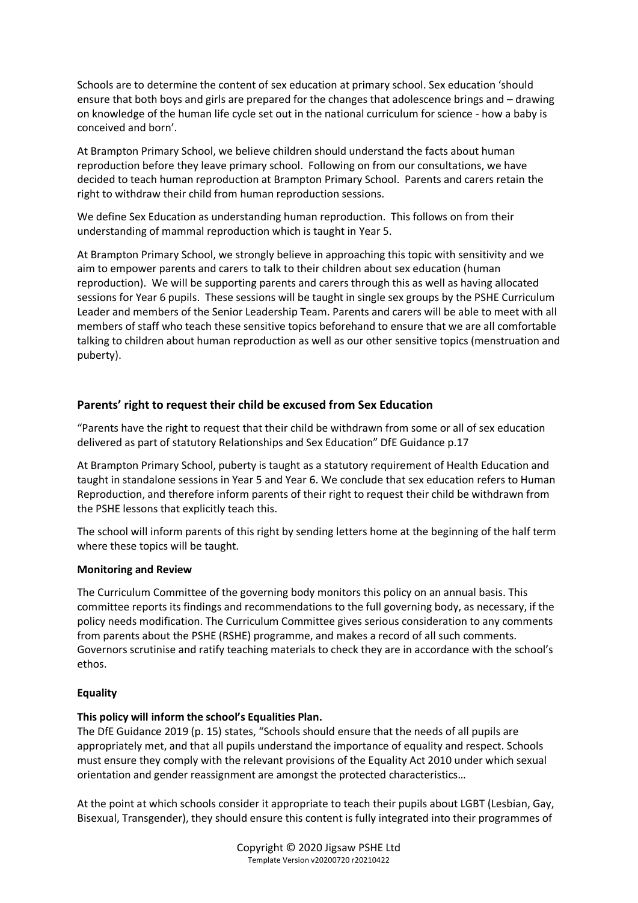Schools are to determine the content of sex education at primary school. Sex education 'should ensure that both boys and girls are prepared for the changes that adolescence brings and – drawing on knowledge of the human life cycle set out in the national curriculum for science - how a baby is conceived and born'.

At Brampton Primary School, we believe children should understand the facts about human reproduction before they leave primary school. Following on from our consultations, we have decided to teach human reproduction at Brampton Primary School. Parents and carers retain the right to withdraw their child from human reproduction sessions.

We define Sex Education as understanding human reproduction. This follows on from their understanding of mammal reproduction which is taught in Year 5.

At Brampton Primary School, we strongly believe in approaching this topic with sensitivity and we aim to empower parents and carers to talk to their children about sex education (human reproduction). We will be supporting parents and carers through this as well as having allocated sessions for Year 6 pupils. These sessions will be taught in single sex groups by the PSHE Curriculum Leader and members of the Senior Leadership Team. Parents and carers will be able to meet with all members of staff who teach these sensitive topics beforehand to ensure that we are all comfortable talking to children about human reproduction as well as our other sensitive topics (menstruation and puberty).

## **Parents' right to request their child be excused from Sex Education**

"Parents have the right to request that their child be withdrawn from some or all of sex education delivered as part of statutory Relationships and Sex Education" DfE Guidance p.17

At Brampton Primary School, puberty is taught as a statutory requirement of Health Education and taught in standalone sessions in Year 5 and Year 6. We conclude that sex education refers to Human Reproduction, and therefore inform parents of their right to request their child be withdrawn from the PSHE lessons that explicitly teach this.

The school will inform parents of this right by sending letters home at the beginning of the half term where these topics will be taught.

### **Monitoring and Review**

The Curriculum Committee of the governing body monitors this policy on an annual basis. This committee reports its findings and recommendations to the full governing body, as necessary, if the policy needs modification. The Curriculum Committee gives serious consideration to any comments from parents about the PSHE (RSHE) programme, and makes a record of all such comments. Governors scrutinise and ratify teaching materials to check they are in accordance with the school's ethos.

### **Equality**

### **This policy will inform the school's Equalities Plan.**

The DfE Guidance 2019 (p. 15) states, "Schools should ensure that the needs of all pupils are appropriately met, and that all pupils understand the importance of equality and respect. Schools must ensure they comply with the relevant provisions of the Equality Act 2010 under which sexual orientation and gender reassignment are amongst the protected characteristics…

At the point at which schools consider it appropriate to teach their pupils about LGBT (Lesbian, Gay, Bisexual, Transgender), they should ensure this content is fully integrated into their programmes of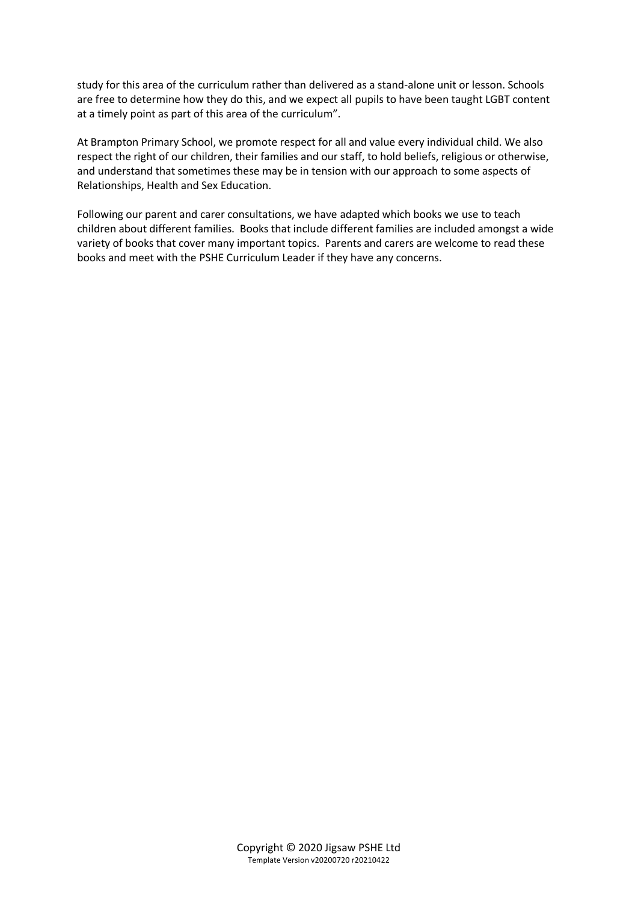study for this area of the curriculum rather than delivered as a stand-alone unit or lesson. Schools are free to determine how they do this, and we expect all pupils to have been taught LGBT content at a timely point as part of this area of the curriculum".

At Brampton Primary School, we promote respect for all and value every individual child. We also respect the right of our children, their families and our staff, to hold beliefs, religious or otherwise, and understand that sometimes these may be in tension with our approach to some aspects of Relationships, Health and Sex Education.

Following our parent and carer consultations, we have adapted which books we use to teach children about different families. Books that include different families are included amongst a wide variety of books that cover many important topics. Parents and carers are welcome to read these books and meet with the PSHE Curriculum Leader if they have any concerns.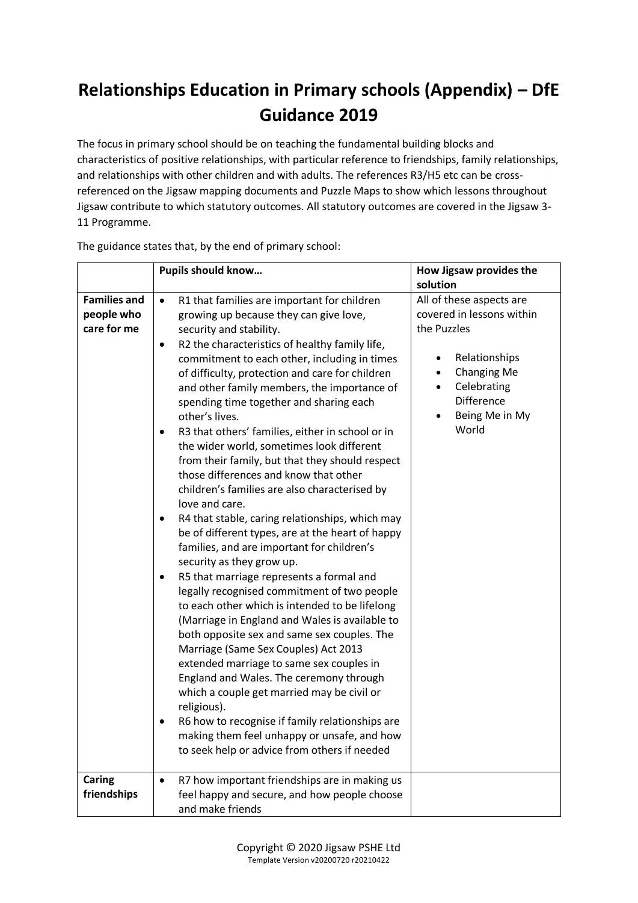## **Relationships Education in Primary schools (Appendix) – DfE Guidance 2019**

The focus in primary school should be on teaching the fundamental building blocks and characteristics of positive relationships, with particular reference to friendships, family relationships, and relationships with other children and with adults. The references R3/H5 etc can be crossreferenced on the Jigsaw mapping documents and Puzzle Maps to show which lessons throughout Jigsaw contribute to which statutory outcomes. All statutory outcomes are covered in the Jigsaw 3- 11 Programme.

|                                                  | Pupils should know                                                                                                                                                                                                                                                                                                                                                                                                                                                                                                                                                                                                                                                                                                                                                                                                                                                                                                                                                                                                                                                                                                                                                                                                                                                                                                                                                                                                                                                                                            | How Jigsaw provides the<br>solution                                                                                                                                                                                     |
|--------------------------------------------------|---------------------------------------------------------------------------------------------------------------------------------------------------------------------------------------------------------------------------------------------------------------------------------------------------------------------------------------------------------------------------------------------------------------------------------------------------------------------------------------------------------------------------------------------------------------------------------------------------------------------------------------------------------------------------------------------------------------------------------------------------------------------------------------------------------------------------------------------------------------------------------------------------------------------------------------------------------------------------------------------------------------------------------------------------------------------------------------------------------------------------------------------------------------------------------------------------------------------------------------------------------------------------------------------------------------------------------------------------------------------------------------------------------------------------------------------------------------------------------------------------------------|-------------------------------------------------------------------------------------------------------------------------------------------------------------------------------------------------------------------------|
| <b>Families and</b><br>people who<br>care for me | R1 that families are important for children<br>$\bullet$<br>growing up because they can give love,<br>security and stability.<br>R2 the characteristics of healthy family life,<br>$\bullet$<br>commitment to each other, including in times<br>of difficulty, protection and care for children<br>and other family members, the importance of<br>spending time together and sharing each<br>other's lives.<br>R3 that others' families, either in school or in<br>$\bullet$<br>the wider world, sometimes look different<br>from their family, but that they should respect<br>those differences and know that other<br>children's families are also characterised by<br>love and care.<br>R4 that stable, caring relationships, which may<br>$\bullet$<br>be of different types, are at the heart of happy<br>families, and are important for children's<br>security as they grow up.<br>R5 that marriage represents a formal and<br>$\bullet$<br>legally recognised commitment of two people<br>to each other which is intended to be lifelong<br>(Marriage in England and Wales is available to<br>both opposite sex and same sex couples. The<br>Marriage (Same Sex Couples) Act 2013<br>extended marriage to same sex couples in<br>England and Wales. The ceremony through<br>which a couple get married may be civil or<br>religious).<br>R6 how to recognise if family relationships are<br>$\bullet$<br>making them feel unhappy or unsafe, and how<br>to seek help or advice from others if needed | All of these aspects are<br>covered in lessons within<br>the Puzzles<br>Relationships<br>$\bullet$<br><b>Changing Me</b><br>$\bullet$<br>Celebrating<br>$\bullet$<br>Difference<br>Being Me in My<br>$\bullet$<br>World |
| Caring<br>friendships                            | R7 how important friendships are in making us<br>$\bullet$<br>feel happy and secure, and how people choose<br>and make friends                                                                                                                                                                                                                                                                                                                                                                                                                                                                                                                                                                                                                                                                                                                                                                                                                                                                                                                                                                                                                                                                                                                                                                                                                                                                                                                                                                                |                                                                                                                                                                                                                         |

The guidance states that, by the end of primary school: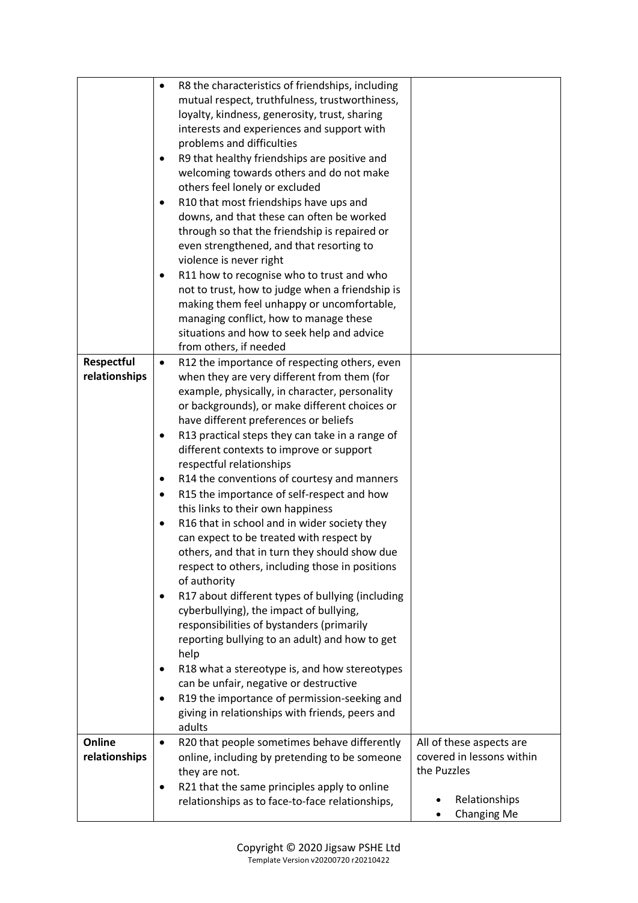|               | R8 the characteristics of friendships, including<br>$\bullet$ |                           |
|---------------|---------------------------------------------------------------|---------------------------|
|               | mutual respect, truthfulness, trustworthiness,                |                           |
|               | loyalty, kindness, generosity, trust, sharing                 |                           |
|               | interests and experiences and support with                    |                           |
|               | problems and difficulties                                     |                           |
|               | R9 that healthy friendships are positive and                  |                           |
|               | welcoming towards others and do not make                      |                           |
|               | others feel lonely or excluded                                |                           |
|               | R10 that most friendships have ups and<br>٠                   |                           |
|               | downs, and that these can often be worked                     |                           |
|               | through so that the friendship is repaired or                 |                           |
|               | even strengthened, and that resorting to                      |                           |
|               | violence is never right                                       |                           |
|               | R11 how to recognise who to trust and who                     |                           |
|               | not to trust, how to judge when a friendship is               |                           |
|               | making them feel unhappy or uncomfortable,                    |                           |
|               | managing conflict, how to manage these                        |                           |
|               | situations and how to seek help and advice                    |                           |
|               | from others, if needed                                        |                           |
| Respectful    | R12 the importance of respecting others, even<br>$\bullet$    |                           |
| relationships | when they are very different from them (for                   |                           |
|               | example, physically, in character, personality                |                           |
|               | or backgrounds), or make different choices or                 |                           |
|               | have different preferences or beliefs                         |                           |
|               | R13 practical steps they can take in a range of<br>٠          |                           |
|               | different contexts to improve or support                      |                           |
|               | respectful relationships                                      |                           |
|               | R14 the conventions of courtesy and manners<br>٠              |                           |
|               | R15 the importance of self-respect and how<br>٠               |                           |
|               | this links to their own happiness                             |                           |
|               | R16 that in school and in wider society they<br>$\bullet$     |                           |
|               | can expect to be treated with respect by                      |                           |
|               | others, and that in turn they should show due                 |                           |
|               | respect to others, including those in positions               |                           |
|               | of authority                                                  |                           |
|               | R17 about different types of bullying (including<br>٠         |                           |
|               | cyberbullying), the impact of bullying,                       |                           |
|               | responsibilities of bystanders (primarily                     |                           |
|               | reporting bullying to an adult) and how to get                |                           |
|               | help                                                          |                           |
|               | R18 what a stereotype is, and how stereotypes                 |                           |
|               | can be unfair, negative or destructive                        |                           |
|               | R19 the importance of permission-seeking and                  |                           |
|               | giving in relationships with friends, peers and<br>adults     |                           |
| Online        | R20 that people sometimes behave differently<br>$\bullet$     | All of these aspects are  |
| relationships | online, including by pretending to be someone                 | covered in lessons within |
|               | they are not.                                                 | the Puzzles               |
|               | R21 that the same principles apply to online                  |                           |
|               | relationships as to face-to-face relationships,               | Relationships             |
|               |                                                               | <b>Changing Me</b>        |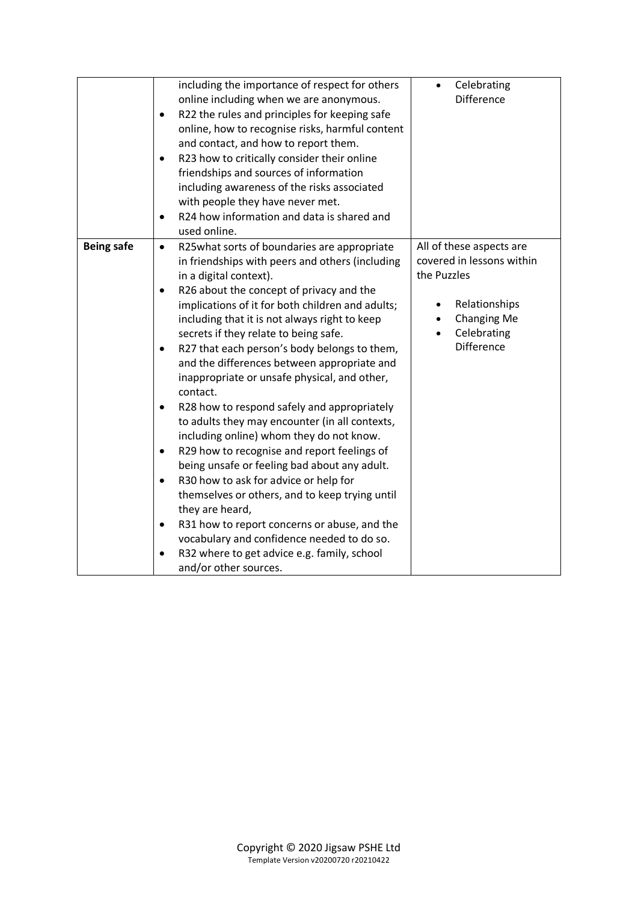|                   | including the importance of respect for others             | Celebrating                     |
|-------------------|------------------------------------------------------------|---------------------------------|
|                   | online including when we are anonymous.                    | <b>Difference</b>               |
|                   | R22 the rules and principles for keeping safe<br>$\bullet$ |                                 |
|                   | online, how to recognise risks, harmful content            |                                 |
|                   | and contact, and how to report them.                       |                                 |
|                   | R23 how to critically consider their online<br>$\bullet$   |                                 |
|                   | friendships and sources of information                     |                                 |
|                   | including awareness of the risks associated                |                                 |
|                   | with people they have never met.                           |                                 |
|                   | R24 how information and data is shared and<br>$\bullet$    |                                 |
|                   | used online.                                               |                                 |
| <b>Being safe</b> | R25what sorts of boundaries are appropriate<br>$\bullet$   | All of these aspects are        |
|                   | in friendships with peers and others (including            | covered in lessons within       |
|                   | in a digital context).                                     | the Puzzles                     |
|                   | R26 about the concept of privacy and the<br>$\bullet$      |                                 |
|                   | implications of it for both children and adults;           | Relationships                   |
|                   | including that it is not always right to keep              | <b>Changing Me</b><br>$\bullet$ |
|                   | secrets if they relate to being safe.                      | Celebrating                     |
|                   | R27 that each person's body belongs to them,<br>$\bullet$  | <b>Difference</b>               |
|                   | and the differences between appropriate and                |                                 |
|                   | inappropriate or unsafe physical, and other,               |                                 |
|                   | contact.                                                   |                                 |
|                   | R28 how to respond safely and appropriately<br>$\bullet$   |                                 |
|                   | to adults they may encounter (in all contexts,             |                                 |
|                   | including online) whom they do not know.                   |                                 |
|                   | R29 how to recognise and report feelings of<br>$\bullet$   |                                 |
|                   | being unsafe or feeling bad about any adult.               |                                 |
|                   | R30 how to ask for advice or help for<br>$\bullet$         |                                 |
|                   | themselves or others, and to keep trying until             |                                 |
|                   | they are heard,                                            |                                 |
|                   | R31 how to report concerns or abuse, and the<br>٠          |                                 |
|                   | vocabulary and confidence needed to do so.                 |                                 |
|                   | R32 where to get advice e.g. family, school<br>$\bullet$   |                                 |
|                   | and/or other sources.                                      |                                 |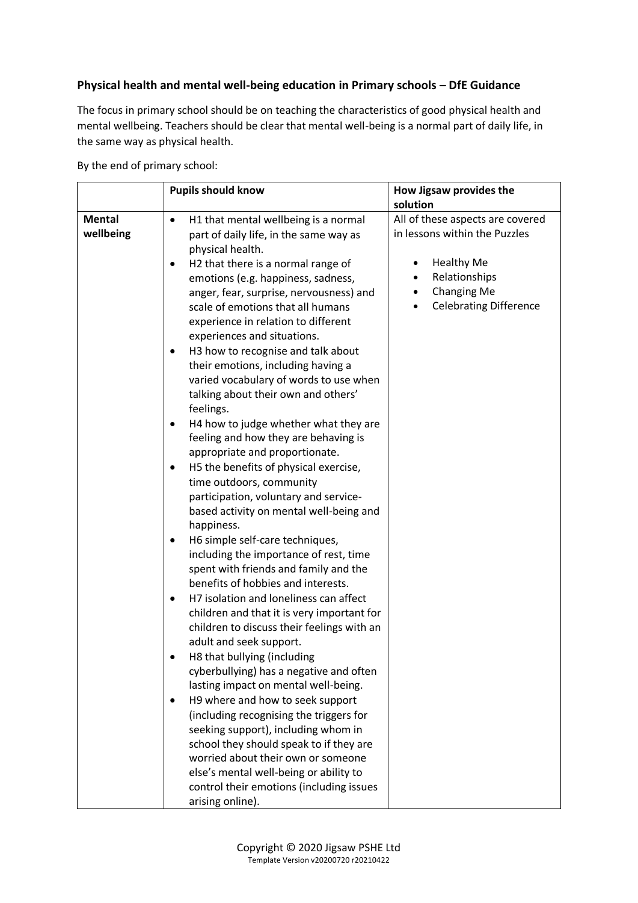## **Physical health and mental well-being education in Primary schools – DfE Guidance**

The focus in primary school should be on teaching the characteristics of good physical health and mental wellbeing. Teachers should be clear that mental well-being is a normal part of daily life, in the same way as physical health.

By the end of primary school:

|                            | <b>Pupils should know</b>                                                                                                                                                                                                                                                                                                                                                                                                                                                                                                                                                                                                                                                                                                                                                                                                                                                                                                                                                                                                                                                                                                                                                                                                                                                                                                                                                                                                                                                                                                                                                                                              | How Jigsaw provides the<br>solution                                                                                                                            |
|----------------------------|------------------------------------------------------------------------------------------------------------------------------------------------------------------------------------------------------------------------------------------------------------------------------------------------------------------------------------------------------------------------------------------------------------------------------------------------------------------------------------------------------------------------------------------------------------------------------------------------------------------------------------------------------------------------------------------------------------------------------------------------------------------------------------------------------------------------------------------------------------------------------------------------------------------------------------------------------------------------------------------------------------------------------------------------------------------------------------------------------------------------------------------------------------------------------------------------------------------------------------------------------------------------------------------------------------------------------------------------------------------------------------------------------------------------------------------------------------------------------------------------------------------------------------------------------------------------------------------------------------------------|----------------------------------------------------------------------------------------------------------------------------------------------------------------|
| <b>Mental</b><br>wellbeing | H1 that mental wellbeing is a normal<br>$\bullet$<br>part of daily life, in the same way as<br>physical health.<br>H2 that there is a normal range of<br>٠<br>emotions (e.g. happiness, sadness,<br>anger, fear, surprise, nervousness) and<br>scale of emotions that all humans<br>experience in relation to different<br>experiences and situations.<br>H3 how to recognise and talk about<br>٠<br>their emotions, including having a<br>varied vocabulary of words to use when<br>talking about their own and others'<br>feelings.<br>H4 how to judge whether what they are<br>feeling and how they are behaving is<br>appropriate and proportionate.<br>H5 the benefits of physical exercise,<br>٠<br>time outdoors, community<br>participation, voluntary and service-<br>based activity on mental well-being and<br>happiness.<br>H6 simple self-care techniques,<br>including the importance of rest, time<br>spent with friends and family and the<br>benefits of hobbies and interests.<br>H7 isolation and loneliness can affect<br>٠<br>children and that it is very important for<br>children to discuss their feelings with an<br>adult and seek support.<br>H8 that bullying (including<br>cyberbullying) has a negative and often<br>lasting impact on mental well-being.<br>H9 where and how to seek support<br>$\bullet$<br>(including recognising the triggers for<br>seeking support), including whom in<br>school they should speak to if they are<br>worried about their own or someone<br>else's mental well-being or ability to<br>control their emotions (including issues<br>arising online). | All of these aspects are covered<br>in lessons within the Puzzles<br><b>Healthy Me</b><br>Relationships<br><b>Changing Me</b><br><b>Celebrating Difference</b> |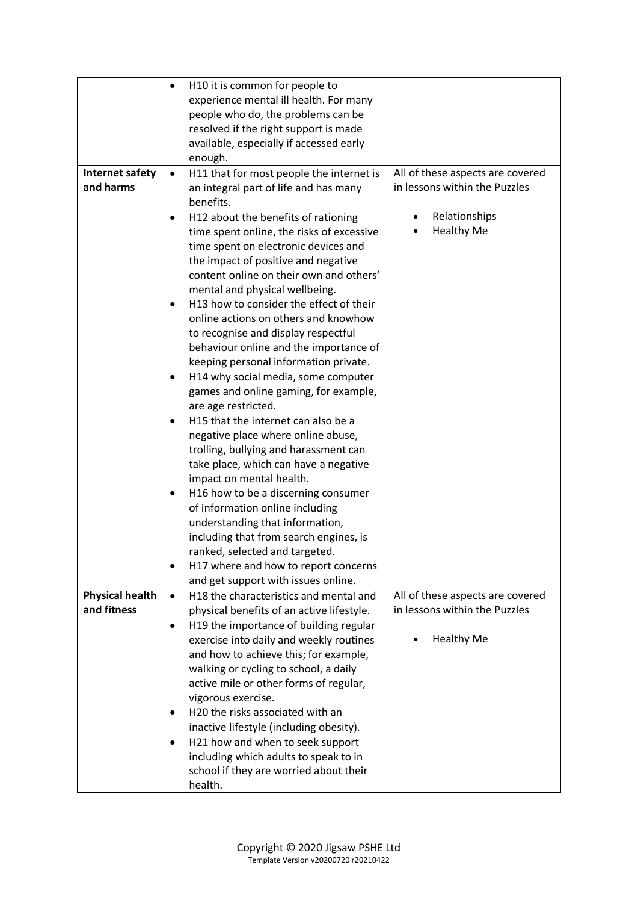|                                       | H10 it is common for people to<br>$\bullet$                                     |                                                                   |
|---------------------------------------|---------------------------------------------------------------------------------|-------------------------------------------------------------------|
|                                       | experience mental ill health. For many                                          |                                                                   |
|                                       | people who do, the problems can be                                              |                                                                   |
|                                       | resolved if the right support is made                                           |                                                                   |
|                                       | available, especially if accessed early                                         |                                                                   |
|                                       | enough.                                                                         |                                                                   |
| Internet safety                       | H11 that for most people the internet is<br>$\bullet$                           | All of these aspects are covered                                  |
| and harms                             | an integral part of life and has many                                           | in lessons within the Puzzles                                     |
|                                       | benefits.                                                                       |                                                                   |
|                                       | H12 about the benefits of rationing<br>$\bullet$                                | Relationships                                                     |
|                                       | time spent online, the risks of excessive                                       | <b>Healthy Me</b>                                                 |
|                                       | time spent on electronic devices and                                            |                                                                   |
|                                       | the impact of positive and negative                                             |                                                                   |
|                                       | content online on their own and others'                                         |                                                                   |
|                                       | mental and physical wellbeing.                                                  |                                                                   |
|                                       | H13 how to consider the effect of their<br>$\bullet$                            |                                                                   |
|                                       | online actions on others and knowhow                                            |                                                                   |
|                                       | to recognise and display respectful                                             |                                                                   |
|                                       | behaviour online and the importance of                                          |                                                                   |
|                                       | keeping personal information private.                                           |                                                                   |
|                                       | H14 why social media, some computer<br>٠                                        |                                                                   |
|                                       | games and online gaming, for example,                                           |                                                                   |
|                                       | are age restricted.                                                             |                                                                   |
|                                       | H15 that the internet can also be a                                             |                                                                   |
|                                       | negative place where online abuse,                                              |                                                                   |
|                                       | trolling, bullying and harassment can                                           |                                                                   |
|                                       | take place, which can have a negative                                           |                                                                   |
|                                       | impact on mental health.                                                        |                                                                   |
|                                       | H16 how to be a discerning consumer<br>٠                                        |                                                                   |
|                                       | of information online including                                                 |                                                                   |
|                                       | understanding that information,                                                 |                                                                   |
|                                       | including that from search engines, is                                          |                                                                   |
|                                       | ranked, selected and targeted.                                                  |                                                                   |
|                                       | H17 where and how to report concerns<br>$\bullet$                               |                                                                   |
|                                       | and get support with issues online.                                             |                                                                   |
| <b>Physical health</b><br>and fitness | H18 the characteristics and mental and<br>$\bullet$                             | All of these aspects are covered<br>in lessons within the Puzzles |
|                                       | physical benefits of an active lifestyle.                                       |                                                                   |
|                                       | H19 the importance of building regular<br>$\bullet$                             |                                                                   |
|                                       | exercise into daily and weekly routines                                         | <b>Healthy Me</b>                                                 |
|                                       | and how to achieve this; for example,                                           |                                                                   |
|                                       | walking or cycling to school, a daily<br>active mile or other forms of regular, |                                                                   |
|                                       | vigorous exercise.                                                              |                                                                   |
|                                       | H20 the risks associated with an<br>$\bullet$                                   |                                                                   |
|                                       |                                                                                 |                                                                   |
|                                       | inactive lifestyle (including obesity).                                         |                                                                   |
|                                       | H21 how and when to seek support<br>$\bullet$                                   |                                                                   |
|                                       | including which adults to speak to in                                           |                                                                   |
|                                       | school if they are worried about their<br>health.                               |                                                                   |
|                                       |                                                                                 |                                                                   |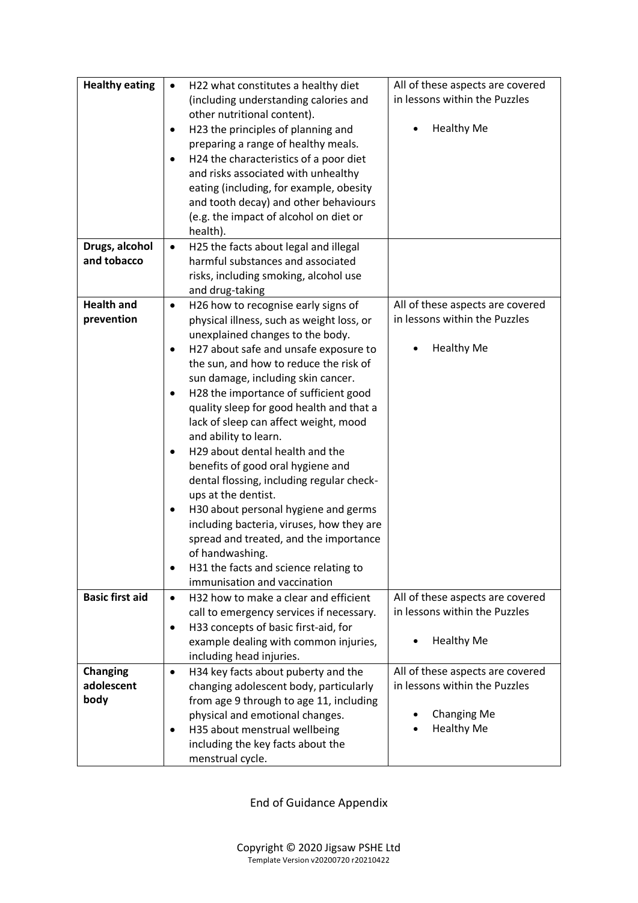| <b>Healthy eating</b>  | H22 what constitutes a healthy diet<br>$\bullet$                     | All of these aspects are covered<br>in lessons within the Puzzles |
|------------------------|----------------------------------------------------------------------|-------------------------------------------------------------------|
|                        | (including understanding calories and<br>other nutritional content). |                                                                   |
|                        | H23 the principles of planning and<br>٠                              | <b>Healthy Me</b>                                                 |
|                        | preparing a range of healthy meals.                                  |                                                                   |
|                        | H24 the characteristics of a poor diet                               |                                                                   |
|                        | and risks associated with unhealthy                                  |                                                                   |
|                        | eating (including, for example, obesity                              |                                                                   |
|                        | and tooth decay) and other behaviours                                |                                                                   |
|                        | (e.g. the impact of alcohol on diet or                               |                                                                   |
|                        | health).                                                             |                                                                   |
| Drugs, alcohol         | H25 the facts about legal and illegal<br>$\bullet$                   |                                                                   |
| and tobacco            | harmful substances and associated                                    |                                                                   |
|                        | risks, including smoking, alcohol use                                |                                                                   |
|                        | and drug-taking                                                      |                                                                   |
| <b>Health and</b>      | H26 how to recognise early signs of<br>$\bullet$                     | All of these aspects are covered                                  |
| prevention             | physical illness, such as weight loss, or                            | in lessons within the Puzzles                                     |
|                        | unexplained changes to the body.                                     |                                                                   |
|                        | H27 about safe and unsafe exposure to<br>$\bullet$                   | <b>Healthy Me</b>                                                 |
|                        | the sun, and how to reduce the risk of                               |                                                                   |
|                        | sun damage, including skin cancer.                                   |                                                                   |
|                        | H28 the importance of sufficient good<br>$\bullet$                   |                                                                   |
|                        | quality sleep for good health and that a                             |                                                                   |
|                        | lack of sleep can affect weight, mood                                |                                                                   |
|                        | and ability to learn.                                                |                                                                   |
|                        | H29 about dental health and the<br>$\bullet$                         |                                                                   |
|                        | benefits of good oral hygiene and                                    |                                                                   |
|                        | dental flossing, including regular check-                            |                                                                   |
|                        | ups at the dentist.                                                  |                                                                   |
|                        | H30 about personal hygiene and germs<br>٠                            |                                                                   |
|                        | including bacteria, viruses, how they are                            |                                                                   |
|                        | spread and treated, and the importance                               |                                                                   |
|                        | of handwashing.                                                      |                                                                   |
|                        | H31 the facts and science relating to                                |                                                                   |
|                        | immunisation and vaccination                                         |                                                                   |
| <b>Basic first aid</b> | H32 how to make a clear and efficient<br>$\bullet$                   | All of these aspects are covered                                  |
|                        | call to emergency services if necessary.                             | in lessons within the Puzzles                                     |
|                        | H33 concepts of basic first-aid, for<br>٠                            |                                                                   |
|                        | example dealing with common injuries,                                | <b>Healthy Me</b>                                                 |
|                        | including head injuries.                                             |                                                                   |
| <b>Changing</b>        | H34 key facts about puberty and the<br>$\bullet$                     | All of these aspects are covered                                  |
| adolescent             | changing adolescent body, particularly                               | in lessons within the Puzzles                                     |
| body                   | from age 9 through to age 11, including                              |                                                                   |
|                        | physical and emotional changes.                                      | <b>Changing Me</b>                                                |
|                        | H35 about menstrual wellbeing                                        | <b>Healthy Me</b>                                                 |
|                        | including the key facts about the                                    |                                                                   |
|                        | menstrual cycle.                                                     |                                                                   |

End of Guidance Appendix